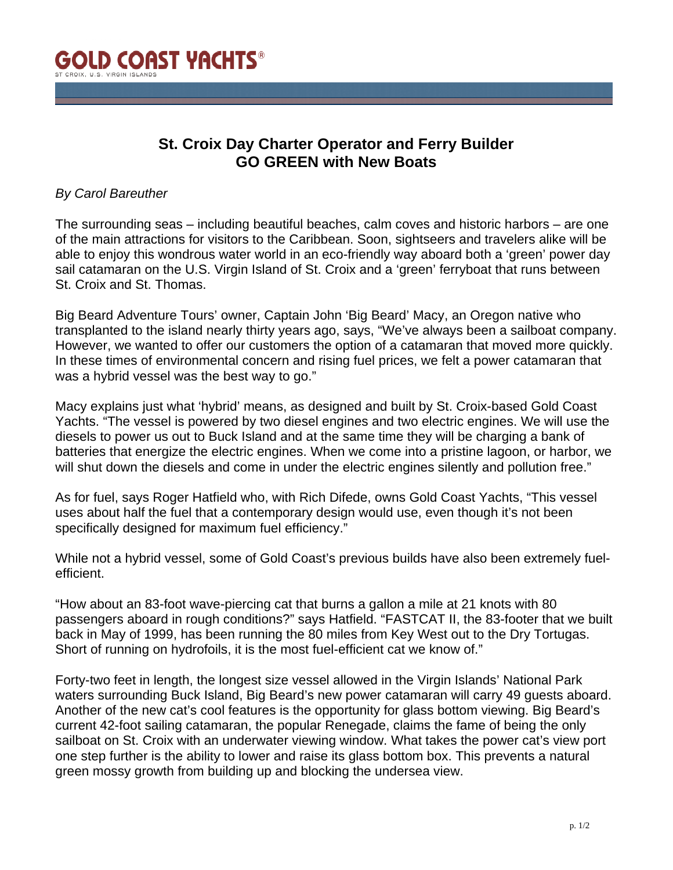

## **St. Croix Day Charter Operator and Ferry Builder GO GREEN with New Boats**

## *By Carol Bareuther*

The surrounding seas – including beautiful beaches, calm coves and historic harbors – are one of the main attractions for visitors to the Caribbean. Soon, sightseers and travelers alike will be able to enjoy this wondrous water world in an eco-friendly way aboard both a 'green' power day sail catamaran on the U.S. Virgin Island of St. Croix and a 'green' ferryboat that runs between St. Croix and St. Thomas.

Big Beard Adventure Tours' owner, Captain John 'Big Beard' Macy, an Oregon native who transplanted to the island nearly thirty years ago, says, "We've always been a sailboat company. However, we wanted to offer our customers the option of a catamaran that moved more quickly. In these times of environmental concern and rising fuel prices, we felt a power catamaran that was a hybrid vessel was the best way to go."

Macy explains just what 'hybrid' means, as designed and built by St. Croix-based Gold Coast Yachts. "The vessel is powered by two diesel engines and two electric engines. We will use the diesels to power us out to Buck Island and at the same time they will be charging a bank of batteries that energize the electric engines. When we come into a pristine lagoon, or harbor, we will shut down the diesels and come in under the electric engines silently and pollution free."

As for fuel, says Roger Hatfield who, with Rich Difede, owns Gold Coast Yachts, "This vessel uses about half the fuel that a contemporary design would use, even though it's not been specifically designed for maximum fuel efficiency."

While not a hybrid vessel, some of Gold Coast's previous builds have also been extremely fuelefficient.

"How about an 83-foot wave-piercing cat that burns a gallon a mile at 21 knots with 80 passengers aboard in rough conditions?" says Hatfield. "FASTCAT II, the 83-footer that we built back in May of 1999, has been running the 80 miles from Key West out to the Dry Tortugas. Short of running on hydrofoils, it is the most fuel-efficient cat we know of."

Forty-two feet in length, the longest size vessel allowed in the Virgin Islands' National Park waters surrounding Buck Island, Big Beard's new power catamaran will carry 49 guests aboard. Another of the new cat's cool features is the opportunity for glass bottom viewing. Big Beard's current 42-foot sailing catamaran, the popular Renegade, claims the fame of being the only sailboat on St. Croix with an underwater viewing window. What takes the power cat's view port one step further is the ability to lower and raise its glass bottom box. This prevents a natural green mossy growth from building up and blocking the undersea view.